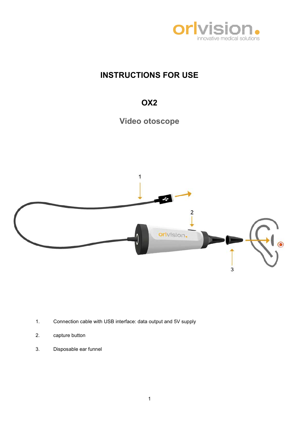

# INSTRUCTIONS FOR USE

# OX2





- 1. Connection cable with USB interface: data output and 5V supply
- 2. capture button
- 3. Disposable ear funnel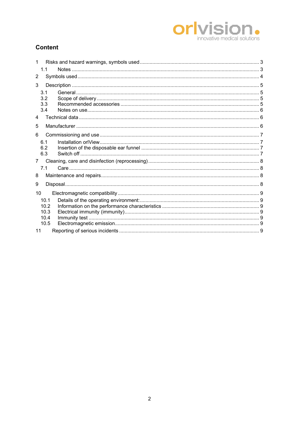# **Orlyision**

# **Content**

| 1            |      |  |  |  |
|--------------|------|--|--|--|
|              | 1.1  |  |  |  |
| 2            |      |  |  |  |
| 3            |      |  |  |  |
|              | 3.1  |  |  |  |
|              | 3.2  |  |  |  |
|              | 3.3  |  |  |  |
|              | 3.4  |  |  |  |
| 4            |      |  |  |  |
| 5            |      |  |  |  |
| 6            |      |  |  |  |
|              | 6.1  |  |  |  |
|              | 6.2  |  |  |  |
|              | 6.3  |  |  |  |
| $7^{\circ}$  |      |  |  |  |
|              | 7.1  |  |  |  |
| 8            |      |  |  |  |
| 9            |      |  |  |  |
| 10           |      |  |  |  |
|              | 10.1 |  |  |  |
| 10.2<br>10.3 |      |  |  |  |
|              |      |  |  |  |
|              | 10.4 |  |  |  |
|              | 10.5 |  |  |  |
| 11           |      |  |  |  |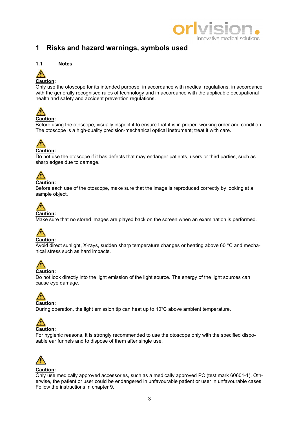

# 1 Risks and hazard warnings, symbols used

### 1.1 Notes



### Caution:

Only use the otoscope for its intended purpose, in accordance with medical regulations, in accordance with the generally recognised rules of technology and in accordance with the applicable occupational health and safety and accident prevention regulations.



Before using the otoscope, visually inspect it to ensure that it is in proper working order and condition. The otoscope is a high-quality precision-mechanical optical instrument; treat it with care.

# Caution:

Do not use the otoscope if it has defects that may endanger patients, users or third parties, such as sharp edges due to damage.



# Caution:

Before each use of the otoscope, make sure that the image is reproduced correctly by looking at a sample object.

# Caution:

Make sure that no stored images are played back on the screen when an examination is performed.



Avoid direct sunlight, X-rays, sudden sharp temperature changes or heating above 60 °C and mechanical stress such as hard impacts.



Do not look directly into the light emission of the light source. The energy of the light sources can cause eye damage.



During operation, the light emission tip can heat up to 10°C above ambient temperature.



For hygienic reasons, it is strongly recommended to use the otoscope only with the specified disposable ear funnels and to dispose of them after single use.



#### Caution:

Only use medically approved accessories, such as a medically approved PC (test mark 60601-1). Otherwise, the patient or user could be endangered in unfavourable patient or user in unfavourable cases. Follow the instructions in chapter 9.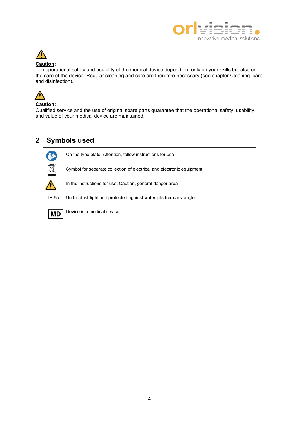

# $\sqrt{ }$

# Caution:

The operational safety and usability of the medical device depend not only on your skills but also on the care of the device. Regular cleaning and care are therefore necessary (see chapter Cleaning, care and disinfection).



#### Caution:

Qualified service and the use of original spare parts guarantee that the operational safety, usability and value of your medical device are maintained.

# 2 Symbols used

|           | On the type plate: Attention, follow instructions for use             |
|-----------|-----------------------------------------------------------------------|
| X         | Symbol for separate collection of electrical and electronic equipment |
|           | In the instructions for use: Caution, general danger area             |
| IP 65     | Unit is dust-tight and protected against water jets from any angle    |
| <b>MD</b> | Device is a medical device                                            |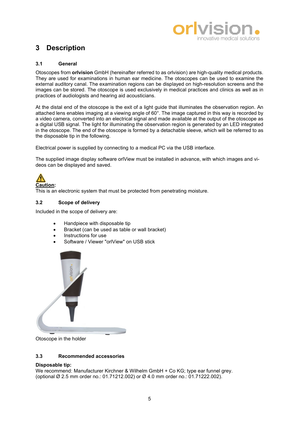

# 3 Description

#### 3.1 General

Otoscopes from orlvision GmbH (hereinafter referred to as orlvision) are high-quality medical products. They are used for examinations in human ear medicine. The otoscopes can be used to examine the external auditory canal. The examination regions can be displayed on high-resolution screens and the images can be stored. The otoscope is used exclusively in medical practices and clinics as well as in practices of audiologists and hearing aid acousticians.

At the distal end of the otoscope is the exit of a light guide that illuminates the observation region. An attached lens enables imaging at a viewing angle of 60°. The image captured in this way is recorded by a video camera, converted into an electrical signal and made available at the output of the otoscope as a digital USB signal. The light for illuminating the observation region is generated by an LED integrated in the otoscope. The end of the otoscope is formed by a detachable sleeve, which will be referred to as the disposable tip in the following.

Electrical power is supplied by connecting to a medical PC via the USB interface.

The supplied image display software orlView must be installed in advance, with which images and videos can be displayed and saved.



This is an electronic system that must be protected from penetrating moisture.

#### 3.2 Scope of delivery

Included in the scope of delivery are:

- Handpiece with disposable tip
- Bracket (can be used as table or wall bracket)
- **Instructions for use**
- Software / Viewer "orlView" on USB stick



Otoscope in the holder

#### 3.3 Recommended accessories

#### Disposable tip:

We recommend: Manufacturer Kirchner & Wilhelm GmbH + Co KG; type ear funnel grey. (optional Ø 2.5 mm order no.: 01.71212.002) or Ø 4.0 mm order no.: 01.71222.002).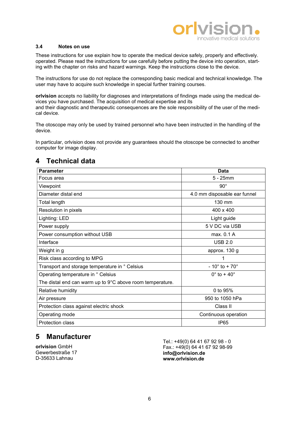

#### 3.4 Notes on use

These instructions for use explain how to operate the medical device safely, properly and effectively. operated. Please read the instructions for use carefully before putting the device into operation, starting with the chapter on risks and hazard warnings. Keep the instructions close to the device.

The instructions for use do not replace the corresponding basic medical and technical knowledge. The user may have to acquire such knowledge in special further training courses.

orlvision accepts no liability for diagnoses and interpretations of findings made using the medical devices you have purchased. The acquisition of medical expertise and its and their diagnostic and therapeutic consequences are the sole responsibility of the user of the medical device.

The otoscope may only be used by trained personnel who have been instructed in the handling of the device.

In particular, orlvision does not provide any guarantees should the otoscope be connected to another computer for image display.

| <b>Parameter</b>                                          | <b>Data</b>                    |  |
|-----------------------------------------------------------|--------------------------------|--|
| Focus area                                                | $5 - 25$ mm                    |  |
| Viewpoint                                                 | $90^{\circ}$                   |  |
| Diameter distal end                                       | 4.0 mm disposable ear funnel   |  |
| Total length                                              | 130 mm                         |  |
| Resolution in pixels                                      | 400 x 400                      |  |
| Lighting: LED                                             | Light guide                    |  |
| Power supply                                              | 5 V DC via USB                 |  |
| Power consumption without USB                             | max. 0.1 A                     |  |
| Interface                                                 | <b>USB 2.0</b>                 |  |
| Weight in g                                               | approx. 130 g                  |  |
| Risk class according to MPG                               | 1                              |  |
| Transport and storage temperature in ° Celsius            | $-10^{\circ}$ to $+70^{\circ}$ |  |
| Operating temperature in ° Celsius                        | $0^\circ$ to + 40 $^\circ$     |  |
| The distal end can warm up to 9°C above room temperature. |                                |  |
| Relative humidity                                         | 0 to 95%                       |  |
| Air pressure                                              | 950 to 1050 hPa                |  |
| Protection class against electric shock                   | Class II                       |  |
| Operating mode                                            | Continuous operation           |  |
| <b>Protection class</b>                                   | IP <sub>65</sub>               |  |

# 4 Technical data

# 5 Manufacturer

orlvision GmbH Gewerbestraße 17 D-35633 Lahnau

Tel.: +49(0) 64 41 67 92 98 - 0 Fax.: +49(0) 64 41 67 92 98-99 info@orlvision.de www.orlvision.de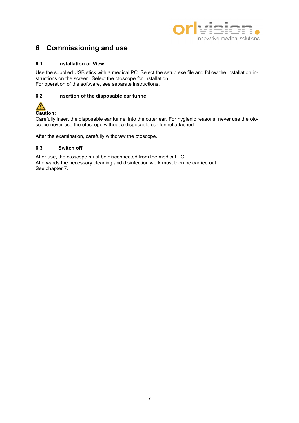

# 6 Commissioning and use

#### 6.1 Installation orlView

Use the supplied USB stick with a medical PC. Select the setup.exe file and follow the installation instructions on the screen. Select the otoscope for installation. For operation of the software, see separate instructions.

## 6.2 Insertion of the disposable ear funnel

# $\bigwedge$ Caution:

Carefully insert the disposable ear funnel into the outer ear. For hygienic reasons, never use the otoscope never use the otoscope without a disposable ear funnel attached.

After the examination, carefully withdraw the otoscope.

### 6.3 Switch off

After use, the otoscope must be disconnected from the medical PC. Afterwards the necessary cleaning and disinfection work must then be carried out. See chapter 7.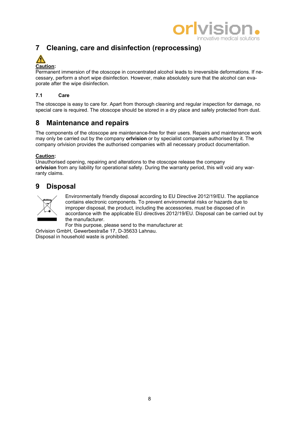

# 7 Cleaning, care and disinfection (reprocessing)



Permanent immersion of the otoscope in concentrated alcohol leads to irreversible deformations. If necessary, perform a short wipe disinfection. However, make absolutely sure that the alcohol can evaporate after the wipe disinfection.

## 7.1 Care

The otoscope is easy to care for. Apart from thorough cleaning and regular inspection for damage, no special care is required. The otoscope should be stored in a dry place and safely protected from dust.

# 8 Maintenance and repairs

The components of the otoscope are maintenance-free for their users. Repairs and maintenance work may only be carried out by the company **orlvision** or by specialist companies authorised by it. The company orlvision provides the authorised companies with all necessary product documentation.

#### Caution:

Unauthorised opening, repairing and alterations to the otoscope release the company orlvision from any liability for operational safety. During the warranty period, this will void any warranty claims.

# 9 Disposal



Environmentally friendly disposal according to EU Directive 2012/19/EU. The appliance contains electronic components. To prevent environmental risks or hazards due to improper disposal, the product, including the accessories, must be disposed of in accordance with the applicable EU directives 2012/19/EU. Disposal can be carried out by the manufacturer.

For this purpose, please send to the manufacturer at:

Orlvision GmbH, Gewerbestraße 17, D-35633 Lahnau. Disposal in household waste is prohibited.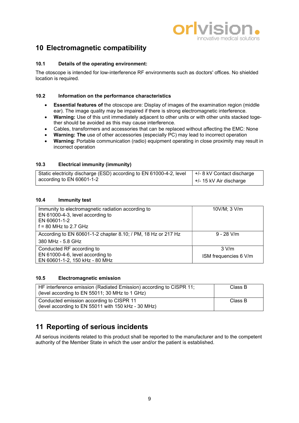# V innovative medical solutions

# 10 Electromagnetic compatibility

#### 10.1 Details of the operating environment:

The otoscope is intended for low-interference RF environments such as doctors' offices. No shielded location is required.

#### 10.2 Information on the performance characteristics

- Essential features of the otoscope are: Display of images of the examination region (middle ear). The image quality may be impaired if there is strong electromagnetic interference.
- Warning: Use of this unit immediately adjacent to other units or with other units stacked together should be avoided as this may cause interference.
- Cables, transformers and accessories that can be replaced without affecting the EMC: None
- Warning: The use of other accessories (especially PC) may lead to incorrect operation
- Warning: Portable communication (radio) equipment operating in close proximity may result in incorrect operation

#### 10.3 Electrical immunity (immunity)

| Static electricity discharge (ESD) according to EN 61000-4-2, level   +/- 8 kV Contact discharge |                           |
|--------------------------------------------------------------------------------------------------|---------------------------|
| according to EN 60601-1-2                                                                        | $+/- 15$ kV Air discharge |

#### 10.4 Immunity test

| Immunity to electromagnetic radiation according to<br>EN 61000-4-3, level according to<br>EN 60601-1-2<br>$f = 80$ MHz to 2.7 GHz | 10V/M; 3 V/m                     |
|-----------------------------------------------------------------------------------------------------------------------------------|----------------------------------|
| According to EN 60601-1-2 chapter 8.10; / PM, 18 Hz or 217 Hz<br>380 MHz - 5.8 GHz                                                | $9 - 28$ V/m                     |
| Conducted RF according to<br>EN 61000-4-6, level according to<br>EN 60601-1-2, 150 kHz - 80 MHz                                   | $3$ V/m<br>ISM frequencies 6 V/m |

#### 10.5 Electromagnetic emission

| HF interference emission (Radiated Emission) according to CISPR 11;<br>(level according to EN 55011; 30 MHz to 1 GHz) | Class B |
|-----------------------------------------------------------------------------------------------------------------------|---------|
| Conducted emission according to CISPR 11<br>(level according to EN 55011 with 150 kHz - 30 MHz)                       | Class B |

# 11 Reporting of serious incidents

All serious incidents related to this product shall be reported to the manufacturer and to the competent authority of the Member State in which the user and/or the patient is established.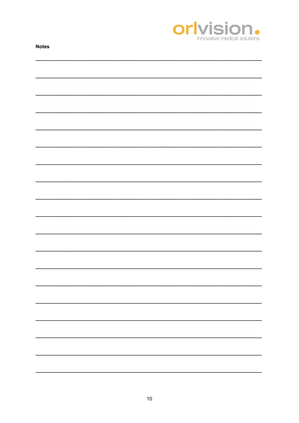

| <b>IANICA</b> |  |  |
|---------------|--|--|
|               |  |  |
|               |  |  |
|               |  |  |
|               |  |  |
|               |  |  |
|               |  |  |
|               |  |  |
|               |  |  |
|               |  |  |
|               |  |  |
|               |  |  |
|               |  |  |
|               |  |  |
|               |  |  |
|               |  |  |
|               |  |  |
|               |  |  |
|               |  |  |
|               |  |  |
|               |  |  |
|               |  |  |
|               |  |  |
|               |  |  |
|               |  |  |
|               |  |  |
|               |  |  |
|               |  |  |
|               |  |  |
|               |  |  |
|               |  |  |
|               |  |  |
|               |  |  |
|               |  |  |
|               |  |  |
|               |  |  |
|               |  |  |
|               |  |  |
|               |  |  |
|               |  |  |
|               |  |  |
|               |  |  |
|               |  |  |
|               |  |  |
|               |  |  |
|               |  |  |
|               |  |  |
|               |  |  |
|               |  |  |
|               |  |  |
|               |  |  |
|               |  |  |
|               |  |  |
|               |  |  |
|               |  |  |
|               |  |  |
|               |  |  |
|               |  |  |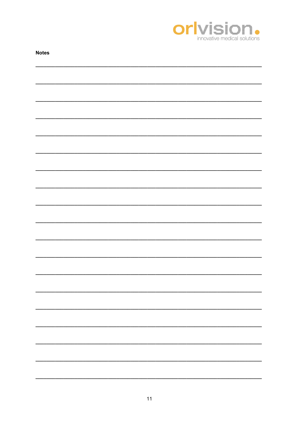

| <b>Notes</b> |  |
|--------------|--|
|              |  |
|              |  |
|              |  |
|              |  |
|              |  |
|              |  |
|              |  |
|              |  |
|              |  |
|              |  |
|              |  |
|              |  |
|              |  |
|              |  |
|              |  |
|              |  |
|              |  |
|              |  |